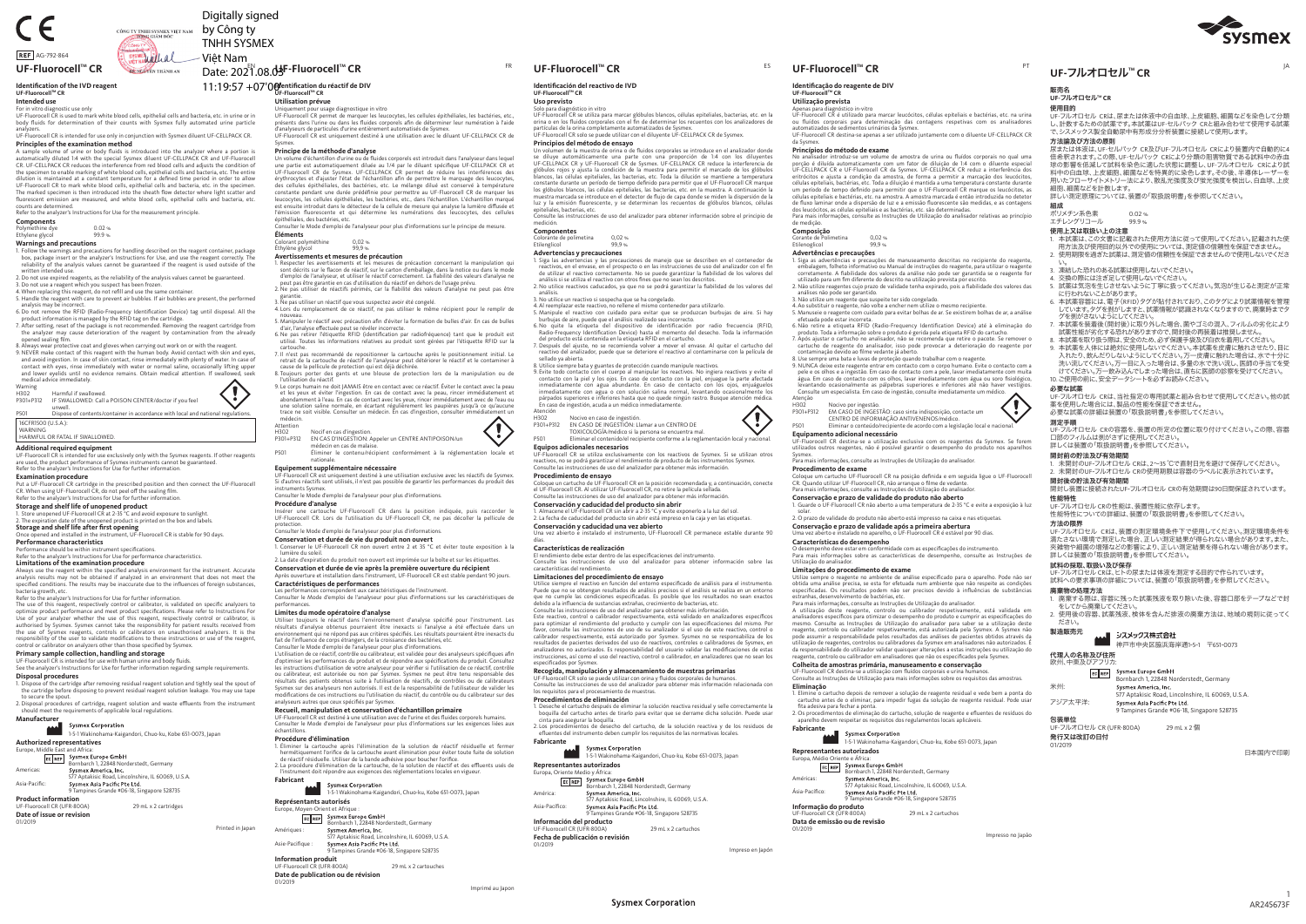### 販売名

### **UF-**フルオロセル**TM CR** 使用目的

 UF-フルオロセル CRは、尿または体液中の白血球、上皮細胞、細菌などを染色して分類 し、計数するための試薬です。本試薬はUF-セルパック CRと組み合わせて使用する試薬 で、シスメックス製全自動尿中有形成分分析装置に接続して使用します。方法論及び方法の原則

 尿または体液は、UF-セルパック CR及びUF-フルオロセル CRにより装置内で自動的に4 倍希釈されます。この際、UF-セルパック CRにより分類の阻害物質である試料中の赤血 球の影響を低減して試料を染色に適した状態に調整し、UF-フルオロセル CRにより試料中の白血球、上皮細胞、細菌などを特異的に染色します。その後、半導体レーザーを用いたフローサイトメトリー法により、散乱光強度及び蛍光強度を検出し、白血球、上皮 細胞、細菌などを計数します。

詳しい測定原理については、装置の「取扱説明書」を参照してください。

組成

| $5 - 15$  |       |
|-----------|-------|
| ポリメチン系色素  | 0.02% |
| エチレングリコール | 99.9% |

### 使用上又は取扱い上の注意

- 1. 本試薬は、この文書に記載された使用方法に従って使用してください。記載された使 用方法及び使用目的以外での使用については、測定値の信頼性を保証できません。
- 2. 使用期限を過ぎた試薬は、測定値の信頼性を保証できませんので使用しないでくださ い。 3. 凍結した恐れのある試薬は使用しないでください。
- 4. 交換の際には注ぎ足して使用しないでください。
- 5. 試薬は気泡を生じさせないように丁寧に扱ってください。気泡が生じると測定が正常 に行われないことがあります。
- 6. 本試薬容器には、電子(RFID)タグが貼付されており、このタグにより試薬情報を管理 しています。タグを剥がしますと、試薬情報が認識されなくなりますので、廃棄時までタグを剥がさないようにしてください。 7. 本試薬を装着後(開封後)に取り外した場合、菌やゴミの混入、フィルムの劣化により
- 試薬性能が劣化する恐れがありますので、開封後の再装着は推奨しません。 8. 本試薬を取り扱う際は、安全のため、必ず保護手袋及び白衣を着用してください。
- 9. 本試薬を人体には絶対に使用しないでください。本試薬を皮膚に触れさせたり、目に入れたり、飲んだりしないようにしてください。万一皮膚に触れた場合は、水で十分に<br>洗い流してください。万一目に入った場合は、多量の水で洗い流し、医師の手当てを<mark>受</mark> けてください。万一飲み込んでしまった場合は、直ちに医師の診察を受けてください。 10. ご使用の前に、安全データシートを必ずお読みください。

EC REP Sysmex Europe GmbH<br>Bornbarch 1, 22848 Norderstedt, Germany<br>Sysmex America, Inc. 米州: 577 Aptakisic Road, Lincolnshire, IL 60069, U.S.A. アジア太平洋: 9 Tampines Grande #06-18, Singapore 528735 包装単位

## 必要な試薬

UF-フルオロセル CRは、当社指定の専用試薬と組み合わせて使用してください。他の試 薬を使用した場合には、製品の性能を保証できません。

必要な試薬の詳細は装置の「取扱説明書」を参照してください。

UF-フルオロセル CRの容器を、装置の所定の位置に取り付けてください。この際、容器 口部のフィルムは剥がさずに使用してください。

## 測定手順 詳しくは装置の「取扱説明書」を参照してください。開封前の貯法及び有効期間

1. 未開封のUF-フルオロセル CRは、2~35 ℃で直射日光を避けて保存してください。 2. 未開封のUF-フルオロセル CRの使用期限は容器のラベルに表示されています。

### 開封後の貯法及び有効期間

 開封し装置に接続されたUF-フルオロセル CRの有効期間は90日間保証されています。性能特性

UF-フルオロセル CRの性能は、装置性能に依存します。

性能特性についての詳細は、装置の「取扱説明書」を参照してください。

### 方法の限界

UF-フルオロセル CRは、装置の測定環境条件下で使用してください。測定環境条件を<br>満たさない環境で測定した場合、正しい測定結果が得られない場合があります。また、<br>夾雑物や細菌の増殖などの影響により、正しい測定結果を得られない場合があります。<br>詳しくは装置の「取扱説明書」を参照してください。

### 試料の採取 取扱い及び保友

 UF-フルオロセル CRは、ヒトの尿または体液を測定する目的で作られています。 試料への要求事項の詳細については、装置の「取扱説明書」を参照してください。廃棄物の処理方法

- 1. 廃棄する際は、容器に残った試薬残液を取り除いた後、容器口部をテープなどで封かい、このは、ロークスラック
- 2. 使用後の容器、試薬残液、検体を含んだ排液の廃棄方法は、地域の規則に従ってください。

### 製造販売元

### シスメックス株式会社

神戸市中央区脇浜海岸通1-5-1 〒651-0073

代理人の名称及び住所

### 欧州、中東及びアフリカ:

 UF-フルオロセル CR (UFR-800A) 29 mL x 2 29 mL x 2 個 発行又は改訂の日付01/2019

**Identificação do reagente de DIV**

**UF-FluorocellTM CRUtilização prevista**

de medição. **Composição**

Etilenoglicol

Atenção<br>H302

Corante de Polimetina 0,02 %

**Advertências e precauções**

 $99.9%$ 

**Principios del método de ensayo**<br>Un volumen de la muestra de orina o de fluidos corporales se introduce en el analizador donde<br>Le diluye automáticamente una parte con una proporción de 1:4 con los diluyentes<br>UF-CELLPACK C constante durante un período de tiempo definido para permitir que el UF-Fluorocell CR marque los glóbulos blancos, las células epiteliales, las bacterias, etc. en la muestra. A continuación la muestra marcada se introduce en el detector de flujo de capa donde se miden la dispersión de la luz y la emisión fluorescente, y se determinan los recuentos de glóbulos blancos, células epiteliales, bacterias, etc.

**Componentes** Colorante de polimetina 0,02 %<br>Frilenglicol 99.9 % Etilenglicol

## **Advertencias y precauciones**<br>1. Siga las advertencias y las precar

1. Siga las advertencias y las precauciones de manejo que se describen en el contenedor de<br>reactivos, en el envase, en el prospecto o en las instrucciones de uso del analizador con el fin<br>de utilizar el reactivo correctame

H302 Nocivo por ingestão. P301+P312 EM CASO DE INGESTÃO: caso sinta indisposição, contacte um CENTRO DE INFORMAÇÃO ANTIVENENOS/médico.

P501 Eliminar o conteúdo/recipiente de acordo com a legislação local e nacional.

**Equipamento adicional necessário**

UF-Fluorocell CR destina-se a utilização exclusiva com os reagentes da Sysmex. Se forem utilizados outros reagentes, não é possível garantir o desempenho do produto nos aparelhos

Coloque um cartucho UF-Fluorocell CR na posição definida e em seguida ligue o UF-Fluorocell<br>CR. Quando utilizar UF-Fluorocell CR, não arranque o filme de vedante.<br>Para mais informações, consulte as Instruções de Utilização

7. Después del ajuste, no se recomienda volver a mover el envase. Al quitar el cartucho del reactivo del analizador, puede que se deteriore el reactivo al contaminarse con la película de sellado ya abierta.<br>sellado ya abierta.<br>Utilice siempre bata y guantes de protección cuando maninule reactivos

Sysmex. Para mais informações, consulte as Instruções de Utilização do analisador.

**Procedimento de exame**

## 8. Utilice siempre bata y guantes de protección cuando manipule reactivos.<br>9. Evite todo contacto con el cuerpo al manipular los reactivos. No ingiera reactivos y evite el<br>0. contacto con la piel y los ojos. En caso de con párpados superiores e inferiores hasta que no quede ningún rastro. Busque atención médica. En caso de ingestión, acuda a un médico inmediatamente. Atención

 H302 Nocivo en caso de ingestión. P301+P312 EN CASO DE INGESTIÓN: Llamar a un CENTRO DE TOXICOLOGĺA/médico si la persona se encuentra mal. P501 Eliminar el contenido/el recipiente conforme a la reglamentación local y nacional. **Equipos adicionales necesarios**<br>UF-Fluorocell CR sequences

**Conservação e prazo de validade do produto não aberto**

1. Guarde o UF-Fluorocell CR não aberto a uma temperatura de 2-35 °C e evite a exposição à luz

solar.

da Sysmex.<br>**Princípios do método de exame**<br>No analisador introduz-se um volume de amostra de urina ou fluídos corporais no qual uma<br>porção é diluída automaticamente com um fator de diluição de 1:4 com o diluente especial<br>U eritrócitos e ajusta a condição da amostra, de forma a permitir a marcação dos leucócitos<br>células eniteliais bactérias etc. Toda a diluição é mantida a uma temperatura constante durante células epiteliais, bactérias, etc. Toda a diluição é mantida a uma temperatura constante durante<br>um período de tempo definido para permitir que o UF-Fluorocell (R marque os leucócios, as<br>células epiteliais e bactérias, et

1. Siga as advertências e precauções de manuseamento descritas no recipiente do reagente, embalagem, folheto informativo ou Manual de instruções do reagente, para utilizar o reagente corretamente. A fiabilidade dos valores

3. Não utilize um reagente que suspetie ter sido congelado.<br>4. Ao substituir o reagente, não volte a encher nem utilize o mesmo recipiente.<br>5. Manuseie o reagente com cuidado para evitar bolhas de ar. Se existirem bolhas d

contaminação devido ao filme vedante já aberto.<br>S. Use sempre uma bata e luvas de proteção quando trabalhar com o reagente.<br>9. NUNCA deixe este reagente entrar em contacto com o corpo humano. Evite o contacto com a<br>pele e



2. O prazo de validade do produto não aberto está impresso na caixa e nas etiquetas.

**Conservação e prazo de validade após a primeira abertura**

EC REP Sysmex Europe GmbH<br>Bornbarch 1, 22848 Norderstedt, Germany

Uma vez aberto e instalado no aparelho, o UF-Fluorocell CR é estável por 90 dias.

**Características do desempenho**<br>O desempenho deve estar em conformidade com as especificações do instrumento.<br>Para mais informações sobre as características de desempenho, consulte as Instruções de

Utilize sempre o reagente no ambiente de análise especificado para o aparelho. Pode não ser<br>obtida uma análise precisa, se esta for efetuada num ambiente que não respeite as condições<br>especificadas. Os resultados podem não

A utilização deste reagente, controlo ou calibrador respetivamente, está validada em<br>analisadores específicos para otimizar o desempenho do produto e cumprir as especificações do<br>mesmo. Consulte as Instruções de Utilização

**Colheita de amostras primária, manuseamento e conservação**<br>UF-Fluorocell CR destina-se a utilização com fluídos corporais e urina humanos.<br>Consulte as Instruções de Utilização para mais informações sobre os requisitos das

Utilização do analisador.

**Limitações do procedimento de exame**

Este reactivo, control o calibrador respectivamente, está validado en analizadores específicos;<br>para optimizar el rendimiento del producto y cumplir con las especificaciones del mismo. Por<br>favor, consulte las instrucciones especificados por Sysmex.

**1dentification du réactif de DIV<br>UF-Fluorocell™ CR Utilisation prévue**

> Uniquement pour usage diagnostique in vitro UF-Fluorocell CR permet de marquer les leucocytes, les cellules épithéliales, les bactéries, etc., présents dans l'urine ou dans les fluides corporels afin de déterminer leur numération à l'aide<br>d'analyseurs de particules d'urine entièrement automatisés de Sysmex.<br>UF-Fluorocell CR est uniquement destiné à une utilisatio

> une partie est automatiquement diluée au 1/4 par le diluant spécifique UF-CELLPACK CR et<br>UF-Fluorocell CR de Sysmex. UF-CELLPACK CR permet de réduire les interférences des<br>érythrocytes et d'ajuster l'état de l'échantillon

constante pendant une durée prédéfinie pour permettre au UF-Fluorocell CR de marquer les<br>leucocytes, les cellules épithéliales, les bactéries, etc., dans l'échantillon. L'échantillon marqué<br>est ensuite introduit dans le dé

1. Respecter les avertissements et les mesures de précaution concernant la manipulation qui<br>sont décrits sur le flacon de réactif, sur le carton d'emballage, dans la notice ou dans le mode<br>d'emploi de l'analyseur, et utili

**Eliminação**

1. Elimine o cartucho depois de remover a solução de reagente residual e vede bem a ponta do

cartucho antes de o eliminar, para impedir fugas da solução de reagente residual. Pode usar<br>fita adesiva para fechar a ponta.<br>2. Os procedimentos de eliminação do cartucho, solução de reagente e efluentes de resíduos do<br>ap

**1-4-1 Sysmex Corporation<br>1-5-1 Wakinohama-Kaigandori, Chuo-ku, Kobe 651-0073, Japan** 

## UF-フルオロセル™ CR

**Fabricante**

**Representantes autorizados** Europa, Médio Oriente e África:

Américas:

577 Aptakisic Road, Lincolnshire, IL 60069, U.S.A.

9777 Fermere frach<br>Sysmex Asia Pacific Pte Ltd.<br>9 Tampines Grande #06-18, Singapore 528735

Ásia-Pacífico:

**Informação do produto**

UF-Fluorocell CR (UFR-800A) 29 mL x 2 cartuchos

**Data de emissão ou de revisão**

01/2019

### PT

Apenas para diagnóstico in-vitro<br>UF-Fluorocell CR é utilizado para marcar leucócitos, células epiteliais e bactérias, etc. na urina<br>ou fluídos corporais para determinação das contagens respetivas com os analisadores<br>automa

### **Identificación del reactivo de IVD**

**UF-FluorocellTM CR**

3. Ne pas utiliser un réactif que vous suspectez avoir été congelé. 4. Lors du remplacement de ce réactif, ne pas utiliser le même récipient pour le remplir de nouveau. 5. Manipuler le réactif avec précaution afin d'éviter la formation de bulles d'air. En cas de bulles d'air, l'analyse effectuée peut se révéler incorrecte.<br>6. Ne pas retirer l'étiquette RFID (identification par radiofréquence) tant que le produit est<br>utilisé. Toutes les informations relatives au produit sont gérées par l'

cartouche.<br>7. Il n'est pas recommandé de repositionner la cartouche après le positionnement initial. Le<br>retrait de la cartouche de réactif de l'analyseur peut détériorer le réactif et le contaminer à<br>cause de la pellicule

### **Uso previsto** Solo para diagnóstico in vitro

UF-Fluorocell CR se utiliza para marcar glóbulos blancos, células epiteliales, bacterias, etc. en la<br>orina o en los fluidos corporales con el fin de determinar los recuentos con los analizadores de<br>partículas de la orina c

**UF-FluorocellTM CR UF-FluorocellTM CRUF-FluorocellTM CR**

 9. Le corps humain ne doit JAMAIS être en contact avec ce réactif. Éviter le contact avec la peau et les yeux et éviter l'ingestion. En cas de contact avec la peau, rincer immédiatement et<br>abondamment à l'eau. En cas de contact avec les yeux, rincer immédiatement avec de l'eau ou<br>une solution saline normale, en écartan

H302<br>P301+P312 EN CAS D'INGESTION: Appeler un CENTRE ANTIPOISON/un<br>P501 Éliminer le contenu/récipient conformément à la réglementation locale et<br>P501 Éliminer le contenu/récipient conformément à la réglementation locale et

npement supprementante necessante<br>Fluorocell CR est uniquement destiné à une utilisation exclusive avec les réactifs de Sysmex. Si d'autres réactifs sont utilisés, il n'est pas possible de garantir les performances du produit des

**Procédure d'analyse**<br>Insérer une cartouche UF-Fluorocell CR dans la position indiquée, puis raccorder le<br>UF-Fluorocell CR. Lors de l'utilisation du UF-Fluorocell CR, ne pas décoller la pellicule de

Consulte las instrucciones de uso del analizador para obtener información sobre el principio de medición.

análisis.3. No utilice un reactivo si sospecha que se ha congelado.

4. Al reemplazar este reactivo, no rellene el mismo contenedor para utilizarlo.<br>5. Manipule el reactivo con cuidado para evitar que se produzcan burbujas de aire. Si hay<br>burbujas de aire, puede que el análisis realizado se

Consulter le Mode d'emploi de l'analyseur pour plus d'informations.<br>L'utilisation de ce réactif, contrôle ou calibrateur, est validée pour des analyseurs spécifiques afin<br>d'optimiser les performances du produit et de répon ou calibrateur, est autorisée ou non par Sysmex. Sysmex ne peut être tenu responsable des résultats des patients obtenus suite à l'utilisation de réactifs, de contrôles ou de calibrateurs Sysmex sur des analyseurs non autorisés. Il est de la responsabilité de l'utilisateur de valider les modifications de ces instructions ou l'utilisation du réactif, du contrôle ou du calibrateur sur des analyseurs autres que ceux spécifiés par Sysmex.

UF-Fluorocell™ CR <u>WARDAR BARDARAN Date:</u> 2021.08.03F-Fluorocell™ CR **Identification of the IVD reagent**

> UF-Fluorocell CR se utiliza exclusivamente con los reactivos de Sysmex. Si se utilizan otros reactivos, no se podrá garantizar el rendimiento de producto de los instrumentos Sysmex. Consulte las instrucciones de uso del analizador para obtener más información.

**Procedimiento de ensayo**<br>Coloque un cartucho de UF-Fluorocell CR en la posición recomendada y, a continuación, conecte<br>el UF-Fluorocell CR. Al utilizar UF-Fluorocell CR, no retire la película sellada.<br>Consulte las instruc

9. NEVER make contact of this reagent with the human body. Avoid contact with skin and eyes,<br>and avoid ingestion. In case of skin contact, rinse immediately with plenty of water. In case of<br>contact with eyes, rinse immedia and lower eyelids until no evidence remains. Obtain medical attention. If swallowed, seek medical advice immediately.

### **Conservación y caducidad del producto sin abrir**

1. Almacene el UF-Fluorocell CR sin abrir a 2-35 °C y evite exponerlo a la luz del sol. 2. La fecha de caducidad del producto sin abrir está impreso en la caja y en las etiquetas.

**Conservación y caducidad una vez abierto** Una vez abierto e instalado el instrumento, UF-Fluorocell CR permanece estable durante 90 días.

### **Características de realización**

El rendimiento debe estar dentro de las especificaciones del instrumento. Consulte las instrucciones de uso del analizador para obtener información sobre las características del rendimiento.

**Limitaciones del procedimiento de ensayo**<br>Utilice siempre el reactivo en funcion del entorno especificado de análisis para el instrumento.<br>Puede que no se obtengan resultados de análisis precisos si el análisis se realiza

**Limitations of the examination procedure** Always use the reagent within the specified analysis environment for the instrument. Accurate<br>analysis results may not be obtained if analyzed in an environment that does not meet the<br>specified conditions. The results may teria growth, etc.

The use of this reagent, respectively control or calibrator, is validated on specific analyzers to<br>optimize product performance and meet product specifications. Please refer to Instructions For<br>Use of your analyzer whether the use of Sysmex reagents, controls or calibrators on unauthorised analyzers. It is the responsibility of the user to validate modifications to these instructions or use of the reagent,

## pensionity of the doct to vandate modifications to these instruction<br>ntrol or calibrator on analyzers other than those specified by Sysmex.

**Primary sample collection, handling and storage**<br>UF-Fluorocell CR is intended for use with human urine and body fluids.<br>See the analyzer's Instructions for Use for further information regarding sample requirements.

2. Disposal procedures of cartridge, reagent solution and waste effluents from the instrument show procedures of editingly, redgent solution and was

Bornbarch 1, 22848 Norderstedt, Germany<br>Sysmex America, Inc. Americas: 577 Aptakisic Road, Lincolnshire, IL 60069, U.S.A. Asia-Pacific:

### **Recogida, manipulación y almacenamiento de muestras primarias**

UF-Fluorocell CR solo se puede utilizar con orina y fluidos corporales de humanos. Consulte las instrucciones de uso del analizador para obtener más información relacionada con los requisitos para el procesamiento de muestras.

### **Procedimientos de eliminación**

-<br>Deseche el cartucho después de eliminar la solución reactiva residual y selle correctamente la 1. Deseche el cartucho después de eliminar la solución reactiva residual y selle correctamente la<br>boquilla del cartucho antes de tirarlo para evitar que se derrame dicha solución. Puede usar<br>cinta para asegurar la boquilla

**Sysmex Corporation** 

### **Fabricante**

1-5-1 Wakinohama-Kaigandori, Chuo-ku, Kobe 651-0073, Japan

**Representantes autorizados**<br>Europa, Oriente Medio y África:<br>**EG REP** BASSING REPLACEMENT

- Bornbarch 1, 22848 Norderstedt, Germany América:
- 577 Aptakisic Road, Lincolnshire, IL 60069, U.S.A. Asia-Pacífico:

### 9 Tampines Grande #06-18, Singapore 528735

**Información del producto** UF-Fluorocell CR (UFR-800A) 29 mL x 2 cartuchos

**Fecha de publicación o revisión**

01/2019

ES

Sysmex. **Principe de la méthode d'analyse**

Un volume d'échantillon d'urine ou de fluides corporels est introduit dans l'analyseur dans lequel

épithéliales, des bactéries, etc.

Consulter le Mode d'emploi de l'analyseur pour plus d'informations sur le principe de mesure.

**Éléments**

 Colorant polyméthine 0,02 % Éthylène glycol 99,9 % **Avertissements et mesures de précaution**

garantie.

l'utilisation du réactif.

médecin.Attention

nationale.**Equipement supplémentaire nécessaire**

instruments Sysmex. Consulter le Mode d'emploi de l'analyseur pour plus d'informations.

protection.

Consulter le Mode d'emploi de l'analyseur pour plus d'informations.

**Conservation et durée de vie du produit non ouvert** 1. Conserver le UF-Fluorocell CR non ouvert entre 2 et 35 °C et éviter toute exposition à la

 2. La date d'expiration du produit non ouvert est imprimée sur la boîte et sur les étiquettes. **Conservation et durée de vie après la première ouverture du récipient** Après ouverture et installation dans l'instrument, UF-Fluorocell CR est stable pendant 90 jours.

**Caractéristiques de performances**

Les performances correspondent aux caractéristiques de l'instrument. Consulter le Mode d'emploi de l'analyseur pour plus d'informations sur les caractéristiques de

Utiliser toujours le réactif dans l'environnement d'analyse spécifié pour l'instrument. Les<br>résultats d'analyse obtenus pourraient être inexacts si l'analyse a été effectuée dans un<br>environnement qui ne répond pas aux crit

performances.

**Limites du mode opératoire d'analyse**

**Recueil, manipulation et conservation d'échantillon primaire**

EC REP SYSTER EUROPE GIMBH<br>Bornbarch 1, 22848 Norderstedt, Germany<br>Sysmex America. Inc.

UF-Fluorocell CR est destiné à une utilisation avec de l'urine et des fluides corporels humains. Consulter le Mode d'emploi de l'analyseur pour plus d'informations sur les exigences liées aux

échantillons.

**Procédure d'élimination**

 1. Éliminer la cartouche après l'élimination de la solution de réactif résiduelle et fermer hermétiquement l'orifice de la cartouche avant élimination pour éviter toute fuite de solution de réactif résiduelle. Utiliser de la bande adhésive pour boucher l'orifice. 2. La procédure d'élimination de la cartouche, de la solution de réactif et des effluents usés de l'instrument doit répondre aux exigences des réglementations locales en vigueur.

1-5-1 Sysmex Corporation<br>1-5-1 Wakinohama-Kaigandori, Chuo-ku, Kobe 651-0073, Japan

sysmex America, inc.<br>577 Aptakisic Road, Lincolnshire, IL 60069, U.S.A.<br>Sysmex Asia Pacific Pte Ltd.

**Fabricant**

**Représentants autorisés** Europe, Moyen-Orient et Afrique :

mière du soleil.<br>mière du soleil

Amériques :

Asie-Pacifique :

9 Tampines Grande #06-18, Singapore 528735

**Information produit**

UF-Fluorocell CR (UFR-800A) 29 mL x 2 cartouches

**Date de publication ou de révision**

01/2019

### **UF-FluorocellTM CR**

**Intended use**

For in vitro diagnostic use only

UF-Fluorocell CR is used to mark white blood cells, epithelial cells and bacteria, etc. in urine or in body fluids for determination of their counts with Sysmex fully automated urine particle

analyzers. UF-Fluorocell CR is intended for use only in conjunction with Sysmex diluent UF-CELLPACK CR.

**Principles of the examination method**<br>A sample volume of urine or body fluids is introduced into the analyzer where a portion is<br>automatically diluted 1:4 with the special Sysmex diluent UF-CELLPACK CR and UF-Fluorocell CR. UF-CELLPACK CR reduces the interference from red blood cells and adjusts the condition of<br>the specimen to enable marking of white blood cells, epithelial cells and bacteria, etc. The entire<br>dilution is maintained at a The marked specimen is then introduced into the sheath flow detector where light scatter and fluorescent emission are measured, and white blood cells, epithelial cells and bacteria, etc.

counts are determined. Refer to the analyzer's Instructions for Use for the measurement principle.

## **Components**

| <b>Warnings and precautions</b> |       |  |
|---------------------------------|-------|--|
| Ethylene glycol                 | 99.9% |  |
| Polymethine dye                 | 0.02% |  |

1. Follow the warnings and precautions for handling described on the reagent container, package<br>box, package insert or the analyzer's Instructions for Use, and use the reagent correctly. The<br>reliability of the analysis val

2. Do not use expired reagents, as the reliability of the analysis values cannot be guaranteed.

3. Do not use a reagent which you suspect has been frozen.<br>4. When replacing this reagent, do not refill and use the same container.<br>5. Handle the reagent with care to prevent air bubbles. If air bubbles are present, the p

analysis may be incorrect.<br>G. Do not remove the RFID (Radio-Frequency Identification Device) tag until disposal. All the<br>product information is managed by the RFID tag on the cartridge.<br>7. After setting, reset of the packa

opened sealing film. 8. Always wear protective coat and gloves when carrying out work on or with the reagent.



 unwell. P501 Dispose of contents/container in accordance with local and national regulations. 16CFR1500 (U.S.A.): WARNING HARMFUL OR FATAL IF SWALLOWED.

**Additional required equipment**<br>UF-Fluorocell CR is intended for use exclusively only with the Sysmex reagents. If other reagents<br>are used, the product performance of Sysmex instruments cannot be guaranteed.<br>Refer to the a

### **Examination procedure**

Put a UF-Fluorocell CR cartridge in the prescribed position and then connect the UF-Fluorocell CR. When using UF-Fluorocell CR, do not peel off the sealing film. Refer to the analyzer's Instructions for Use for further information.

## **Storage and shelf life of unopened product**

1. Store unopened UF-Fluorocell CR at 2-35 °C and avoid exposure to sunlight. 2. The expiration date of the unopened product is printed on the box and labels.

# **Storage and shelf life after first opening**<br>Once opened and installed in the instrument, UF-Fluorocell CR is stable for 90 days.<br>**Performance characteristics**

Performance should be within instrument specifications.

### Refer to the analyzer's Instructions for Use for performance characteristics.

Refer to the analyzer's Instructions for Use for further information.

### **Disposal procedures**

1. Dispose of the cartridge after removing residual reagent solution and tightly seal the spout of the cartridge before disposing to prevent residual reagent solution leakage. You may use tape to secure the spout.



AMA Bysinex Corporacion.<br>1-5-1 Wakinohama-Kaigandori, Chuo-ku, Kobe 651-0073, Japan

### **Authorized representatives** Europe, Middle East and Africa:

### 9 Tampines Grande #06-18, Singapore 528735

**Product information**

### UF-Fluorocell CR (UFR-800A) 29 mL x 2 cartridges

**Date of issue or revision** 01/2019

Printed in Japan

日本国内で印刷

Imprimé au Japon

Impreso en Japón





CÔNG TY TNHH SYSMEX VIỆT NAM by Công ty TNHH SYSMEX Việt Nam **YSMEY ALLAL** 

Digitally signed